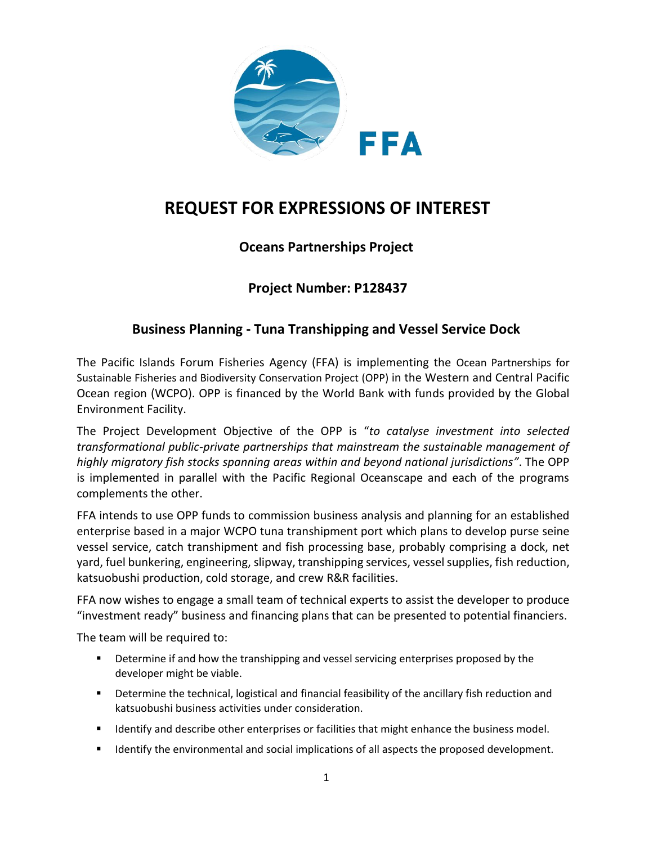

# **REQUEST FOR EXPRESSIONS OF INTEREST**

## **Oceans Partnerships Project**

### **Project Number: P128437**

### **Business Planning - Tuna Transhipping and Vessel Service Dock**

The Pacific Islands Forum Fisheries Agency (FFA) is implementing the Ocean Partnerships for Sustainable Fisheries and Biodiversity Conservation Project (OPP) in the Western and Central Pacific Ocean region (WCPO). OPP is financed by the World Bank with funds provided by the Global Environment Facility.

The Project Development Objective of the OPP is "*to catalyse investment into selected transformational public-private partnerships that mainstream the sustainable management of highly migratory fish stocks spanning areas within and beyond national jurisdictions"*. The OPP is implemented in parallel with the Pacific Regional Oceanscape and each of the programs complements the other.

FFA intends to use OPP funds to commission business analysis and planning for an established enterprise based in a major WCPO tuna transhipment port which plans to develop purse seine vessel service, catch transhipment and fish processing base, probably comprising a dock, net yard, fuel bunkering, engineering, slipway, transhipping services, vessel supplies, fish reduction, katsuobushi production, cold storage, and crew R&R facilities.

FFA now wishes to engage a small team of technical experts to assist the developer to produce "investment ready" business and financing plans that can be presented to potential financiers.

The team will be required to:

- **Petermine if and how the transhipping and vessel servicing enterprises proposed by the** developer might be viable.
- **•** Determine the technical, logistical and financial feasibility of the ancillary fish reduction and katsuobushi business activities under consideration.
- **IDENTIFY 19 IDENTIFY And SET STARK IS CONTIFY ADDET** IDENTIFY IDENTIFY IDENTIFY IN A described.
- **If all identify the environmental and social implications of all aspects the proposed development.**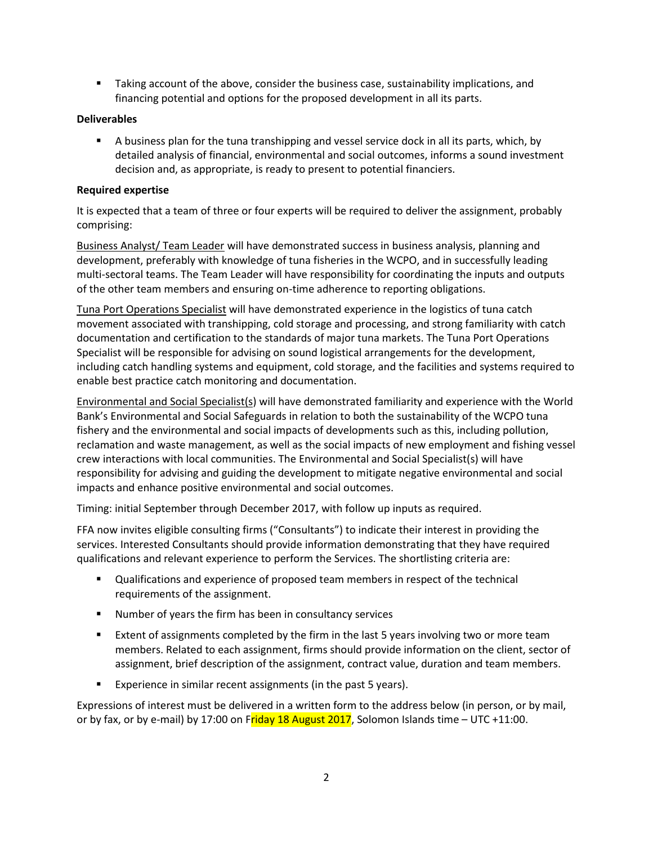**Taking account of the above, consider the business case, sustainability implications, and** financing potential and options for the proposed development in all its parts.

#### **Deliverables**

 A business plan for the tuna transhipping and vessel service dock in all its parts, which, by detailed analysis of financial, environmental and social outcomes, informs a sound investment decision and, as appropriate, is ready to present to potential financiers.

#### **Required expertise**

It is expected that a team of three or four experts will be required to deliver the assignment, probably comprising:

Business Analyst/ Team Leader will have demonstrated success in business analysis, planning and development, preferably with knowledge of tuna fisheries in the WCPO, and in successfully leading multi-sectoral teams. The Team Leader will have responsibility for coordinating the inputs and outputs of the other team members and ensuring on-time adherence to reporting obligations.

Tuna Port Operations Specialist will have demonstrated experience in the logistics of tuna catch movement associated with transhipping, cold storage and processing, and strong familiarity with catch documentation and certification to the standards of major tuna markets. The Tuna Port Operations Specialist will be responsible for advising on sound logistical arrangements for the development, including catch handling systems and equipment, cold storage, and the facilities and systems required to enable best practice catch monitoring and documentation.

Environmental and Social Specialist(s) will have demonstrated familiarity and experience with the World Bank's Environmental and Social Safeguards in relation to both the sustainability of the WCPO tuna fishery and the environmental and social impacts of developments such as this, including pollution, reclamation and waste management, as well as the social impacts of new employment and fishing vessel crew interactions with local communities. The Environmental and Social Specialist(s) will have responsibility for advising and guiding the development to mitigate negative environmental and social impacts and enhance positive environmental and social outcomes.

Timing: initial September through December 2017, with follow up inputs as required.

FFA now invites eligible consulting firms ("Consultants") to indicate their interest in providing the services. Interested Consultants should provide information demonstrating that they have required qualifications and relevant experience to perform the Services. The shortlisting criteria are:

- Qualifications and experience of proposed team members in respect of the technical requirements of the assignment.
- Number of years the firm has been in consultancy services
- Extent of assignments completed by the firm in the last 5 years involving two or more team members. Related to each assignment, firms should provide information on the client, sector of assignment, brief description of the assignment, contract value, duration and team members.
- **Experience in similar recent assignments (in the past 5 years).**

Expressions of interest must be delivered in a written form to the address below (in person, or by mail, or by fax, or by e-mail) by 17:00 on Friday 18 August 2017, Solomon Islands time – UTC +11:00.